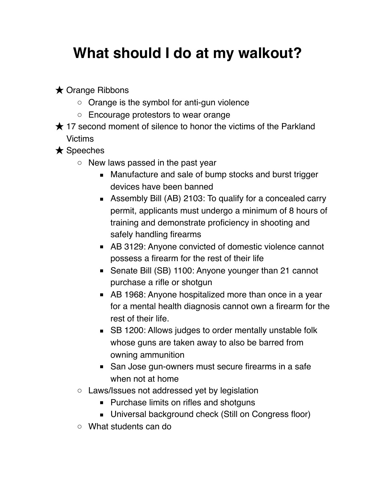## **What should I do at my walkout?**

**★ Orange Ribbons** 

- Orange is the symbol for anti-gun violence
- Encourage protestors to wear orange
- **★ 17 second moment of silence to honor the victims of the Parkland** Victims

★ Speeches

- New laws passed in the past year
	- Manufacture and sale of bump stocks and burst trigger devices have been banned
	- Assembly Bill (AB) 2103: To qualify for a concealed carry permit, applicants must undergo a minimum of 8 hours of training and demonstrate proficiency in shooting and safely handling firearms
	- AB 3129: Anyone convicted of domestic violence cannot possess a firearm for the rest of their life
	- Senate Bill (SB) 1100: Anyone younger than 21 cannot purchase a rifle or shotgun
	- AB 1968: Anyone hospitalized more than once in a year for a mental health diagnosis cannot own a firearm for the rest of their life.
	- SB 1200: Allows judges to order mentally unstable folk whose guns are taken away to also be barred from owning ammunition
	- San Jose gun-owners must secure firearms in a safe when not at home
- Laws/Issues not addressed yet by legislation
	- Purchase limits on rifles and shotguns
	- Universal background check (Still on Congress floor)
- What students can do